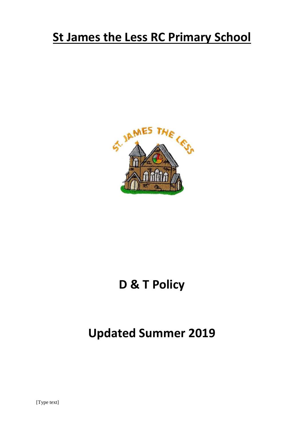# **St James the Less RC Primary School**



# **D & T Policy**

# **Updated Summer 2019**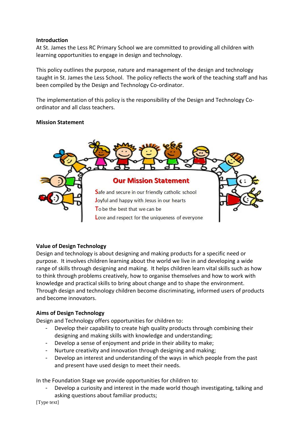#### **Introduction**

At St. James the Less RC Primary School we are committed to providing all children with learning opportunities to engage in design and technology.

This policy outlines the purpose, nature and management of the design and technology taught in St. James the Less School. The policy reflects the work of the teaching staff and has been compiled by the Design and Technology Co-ordinator.

The implementation of this policy is the responsibility of the Design and Technology Coordinator and all class teachers.

### **Mission Statement**



## **Value of Design Technology**

Design and technology is about designing and making products for a specific need or purpose. It involves children learning about the world we live in and developing a wide range of skills through designing and making. It helps children learn vital skills such as how to think through problems creatively, how to organise themselves and how to work with knowledge and practical skills to bring about change and to shape the environment. Through design and technology children become discriminating, informed users of products and become innovators.

## **Aims of Design Technology**

Design and Technology offers opportunities for children to:

- Develop their capability to create high quality products through combining their designing and making skills with knowledge and understanding;
- Develop a sense of enjoyment and pride in their ability to make;
- Nurture creativity and innovation through designing and making;
- Develop an interest and understanding of the ways in which people from the past and present have used design to meet their needs.

In the Foundation Stage we provide opportunities for children to:

Develop a curiosity and interest in the made world though investigating, talking and asking questions about familiar products;

[Type text]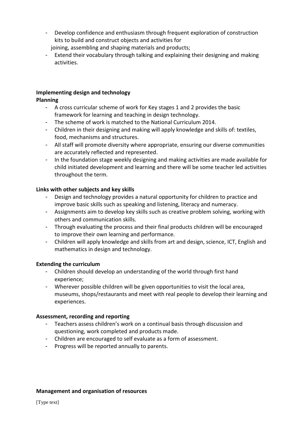- Develop confidence and enthusiasm through frequent exploration of construction kits to build and construct objects and activities for joining, assembling and shaping materials and products;
- Extend their vocabulary through talking and explaining their designing and making activities.

#### **Implementing design and technology**

### **Planning**

- A cross curricular scheme of work for Key stages 1 and 2 provides the basic framework for learning and teaching in design technology.
- The scheme of work is matched to the National Curriculum 2014.
- Children in their designing and making will apply knowledge and skills of: textiles, food, mechanisms and structures.
- All staff will promote diversity where appropriate, ensuring our diverse communities are accurately reflected and represented.
- In the foundation stage weekly designing and making activities are made available for child initiated development and learning and there will be some teacher led activities throughout the term.

### **Links with other subjects and key skills**

- Design and technology provides a natural opportunity for children to practice and improve basic skills such as speaking and listening, literacy and numeracy.
- Assignments aim to develop key skills such as creative problem solving, working with others and communication skills.
- Through evaluating the process and their final products children will be encouraged to improve their own learning and performance.
- Children will apply knowledge and skills from art and design, science, ICT, English and mathematics in design and technology.

#### **Extending the curriculum**

- Children should develop an understanding of the world through first hand experience;
- Wherever possible children will be given opportunities to visit the local area, museums, shops/restaurants and meet with real people to develop their learning and experiences.

## **Assessment, recording and reporting**

- Teachers assess children's work on a continual basis through discussion and questioning, work completed and products made.
- Children are encouraged to self evaluate as a form of assessment.
- Progress will be reported annually to parents.

#### **Management and organisation of resources**